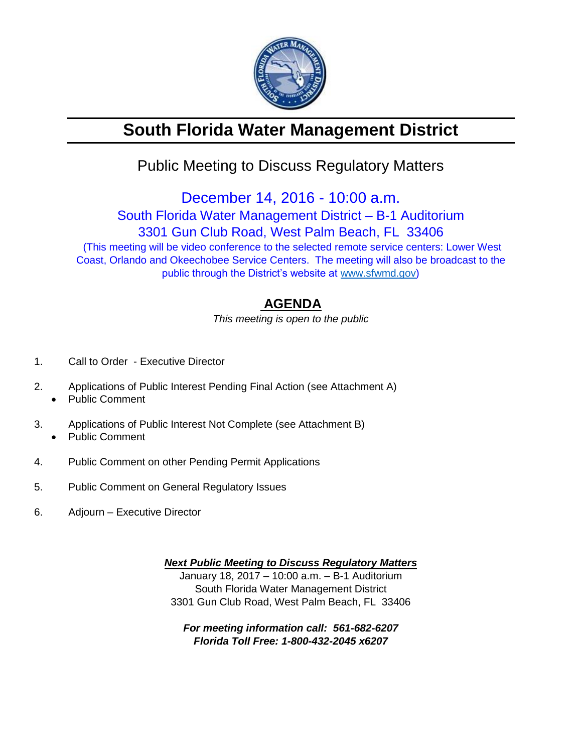

# **South Florida Water Management District**

## Public Meeting to Discuss Regulatory Matters

December 14, 2016 - 10:00 a.m.

South Florida Water Management District – B-1 Auditorium 3301 Gun Club Road, West Palm Beach, FL 33406 (This meeting will be video conference to the selected remote service centers: Lower West

Coast, Orlando and Okeechobee Service Centers. The meeting will also be broadcast to the public through the District's website at [www.sfwmd.gov\)](http://www.sfwmd.gov/)

### **AGENDA**

*This meeting is open to the public*

- 1. Call to Order Executive Director
- 2. Applications of Public Interest Pending Final Action (see Attachment A)
	- Public Comment
- 3. Applications of Public Interest Not Complete (see Attachment B) Public Comment
- 4. Public Comment on other Pending Permit Applications
- 5. Public Comment on General Regulatory Issues
- 6. Adjourn Executive Director

*Next Public Meeting to Discuss Regulatory Matters* January 18, 2017 – 10:00 a.m. – B-1 Auditorium South Florida Water Management District 3301 Gun Club Road, West Palm Beach, FL 33406

*For meeting information call: 561-682-6207 Florida Toll Free: 1-800-432-2045 x6207*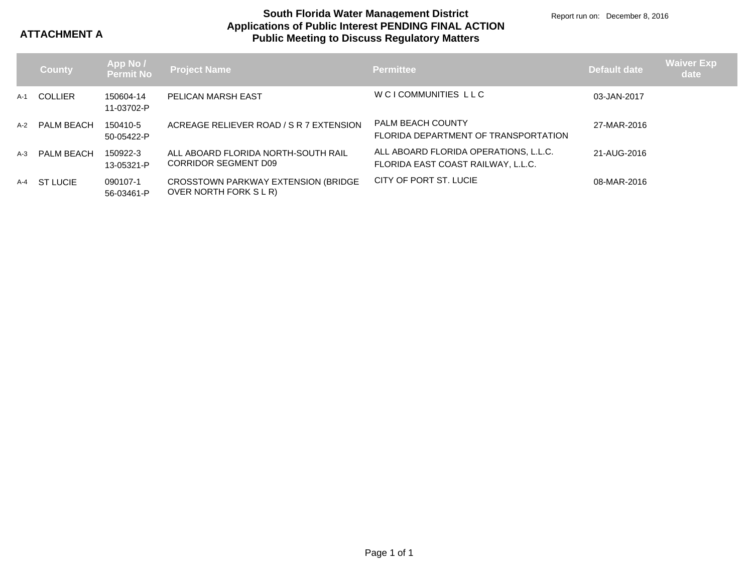**ATTACHMENT A**

#### **Applications of Public Interest PENDING FINAL ACTION Public Meeting to Discuss Regulatory Matters South Florida Water Management District**

Report run on: December 8, 2016

|       | <b>County</b>     | App No /  <br> Permit No | <b>Project Name</b>                                           | <b>Permittee</b>                                                            | <b>Default date</b> | <b>Waiver Exp</b><br>date |
|-------|-------------------|--------------------------|---------------------------------------------------------------|-----------------------------------------------------------------------------|---------------------|---------------------------|
| A-1   | COLLIER           | 150604-14<br>11-03702-P  | <b>PELICAN MARSH EAST</b>                                     | W CI COMMUNITIES LLC                                                        | 03-JAN-2017         |                           |
| $A-2$ | PALM BEACH        | 150410-5<br>50-05422-P   | ACREAGE RELIEVER ROAD / S R 7 EXTENSION                       | <b>PALM BEACH COUNTY</b><br>FLORIDA DEPARTMENT OF TRANSPORTATION            | 27-MAR-2016         |                           |
| $A-3$ | <b>PALM BEACH</b> | 150922-3<br>13-05321-P   | ALL ABOARD FLORIDA NORTH-SOUTH RAIL<br>CORRIDOR SEGMENT D09   | ALL ABOARD FLORIDA OPERATIONS, L.L.C.<br>FLORIDA EAST COAST RAILWAY, L.L.C. | 21-AUG-2016         |                           |
| A-4   | <b>ST LUCIE</b>   | 090107-1<br>56-03461-P   | CROSSTOWN PARKWAY EXTENSION (BRIDGE<br>OVER NORTH FORK S L R) | CITY OF PORT ST. LUCIE                                                      | 08-MAR-2016         |                           |